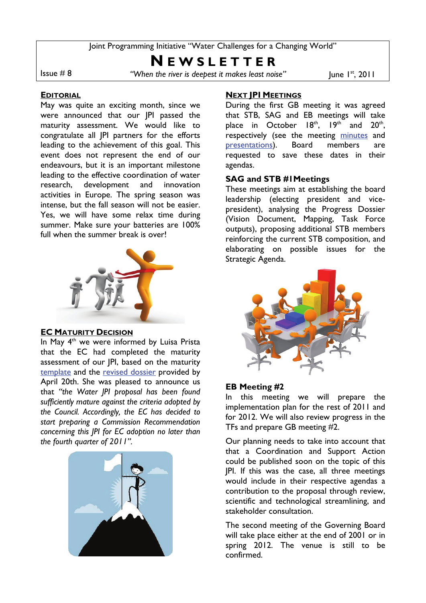Joint Programming Initiative "Water Challenges for a Changing World"

# **N E W S L E T T E R**

Issue # 8 *"When the river is deepest it makes least noise"* June I<sup>st</sup>, 2011

### **EDITORIAL**

May was quite an exciting month, since we were announced that our JPI passed the maturity assessment. We would like to congratulate all JPI partners for the efforts leading to the achievement of this goal. This event does not represent the end of our endeavours, but it is an important milestone leading to the effective coordination of water research, development and innovation activities in Europe. The spring season was intense, but the fall season will not be easier. Yes, we will have some relax time during summer. Make sure your batteries are 100% full when the summer break is over!



#### **EC MATURITY DECISION**

In May 4<sup>th</sup> we were informed by Luisa Prista that the EC had completed the maturity assessment of our JPI, based on the maturity [template](ftp://jpiuser:wccw@155.210.150.22/Main%20documents/Template%20submitted%20to%20EC/Water%20JPI%20Maturity%20Template%2020110420.pdf) and the [revised dossier](ftp://jpiuser:wccw@155.210.150.22/Main%20documents/Progress%20Report%20April%2020%202011/Water%20JPI%20Dossier,%20April%2020%202011.pdf) provided by April 20th. She was pleased to announce us that *"the Water JPI proposal has been found sufficiently mature against the criteria adopted by the Council. Accordingly, the EC has decided to start preparing a Commission Recommendation concerning this JPI for EC adoption no later than the fourth quarter of 2011".* 



## **NEXT JPI MEETINGS**

During the first GB meeting it was agreed that STB, SAG and EB meetings will take place in October  $18<sup>th</sup>$ ,  $19<sup>th</sup>$  and  $20<sup>th</sup>$ , respectively (see the meeting [minutes](ftp://jpiuser:wccw@155.210.150.22/Internal%20Meetings/Governing%20Board/2011%2004%2014%20GB%20meeting%201/Minutes/Minutes%20GB%201.pdf) and [presentations](ftp://jpiuser:wccw@155.210.150.22/Internal%20Meetings/Governing%20Board/2011%2004%2014%20GB%20meeting%201/Minutes/Presentations,%20GB%20Meeting%201.pdf)). Board members are requested to save these dates in their agendas.

## **SAG and STB #1Meetings**

These meetings aim at establishing the board leadership (electing president and vicepresident), analysing the Progress Dossier (Vision Document, Mapping, Task Force outputs), proposing additional STB members reinforcing the current STB composition, and elaborating on possible issues for the Strategic Agenda.



## **EB Meeting #2**

In this meeting we will prepare the implementation plan for the rest of 2011 and for 2012. We will also review progress in the TFs and prepare GB meeting #2.

Our planning needs to take into account that that a Coordination and Support Action could be published soon on the topic of this JPI. If this was the case, all three meetings would include in their respective agendas a contribution to the proposal through review, scientific and technological streamlining, and stakeholder consultation.

The second meeting of the Governing Board will take place either at the end of 2001 or in spring 2012. The venue is still to be confirmed.